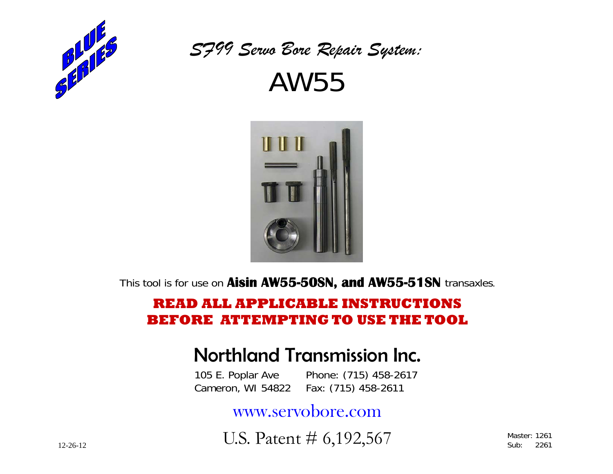

*SF99 Servo Bore Repair System:*  AW55



This tool is for use on **Aisin AW55-50SN, and AW55-51SN** transaxles.

## **READ ALL APPLICABLE INSTRUCTIONS BEFORE ATTEMPTING TO USE THE TOOL**

## Northland Transmission Inc.

 105 E. Poplar Ave Phone: (715) 458-2617 Cameron, WI 54822 Fax: (715) 458-2611

www.servobore.com

U.S. Patent # 6,192,567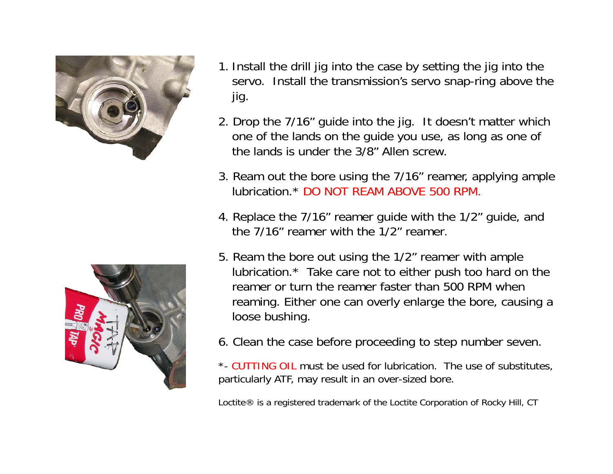



- 1. Install the drill jig into the case by setting the jig into the servo. Install the transmission's servo snap-ring above the jig.
- 2. Drop the 7/16" guide into the jig. It doesn't matter which one of the lands on the guide you use, as long as one of the lands is under the 3/8" Allen screw.
- 3. Ream out the bore using the 7/16" reamer, applying ample lubrication.\* DO NOT REAM ABOVE 500 RPM.
- 4. Replace the 7/16" reamer guide with the 1/2" guide, and the 7/16" reamer with the 1/2" reamer.
- 5. Ream the bore out using the 1/2" reamer with ample lubrication.\* Take care not to either push too hard on the reamer or turn the reamer faster than 500 RPM when reaming. Either one can overly enlarge the bore, causing a loose bushing.
- 6. Clean the case before proceeding to step number seven.

\*- CUTTING OIL must be used for lubrication. The use of substitutes, particularly ATF, may result in an over-sized bore.

Loctite® is a registered trademark of the Loctite Corporation of Rocky Hill, CT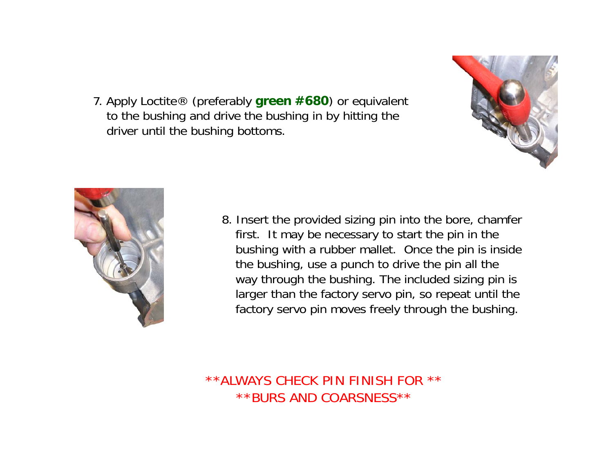7. Apply Loctite® (preferably **green #680**) or equivalent to the bushing and drive the bushing in by hitting the driver until the bushing bottoms.





8. Insert the provided sizing pin into the bore, chamfer first. It may be necessary to start the pin in the bushing with a rubber mallet. Once the pin is inside the bushing, use a punch to drive the pin all the way through the bushing. The included sizing pin is larger than the factory servo pin, so repeat until the factory servo pin moves freely through the bushing.

\*\*ALWAYS CHECK PIN FINISH FOR \*\* \*\*BURS AND COARSNESS\*\*